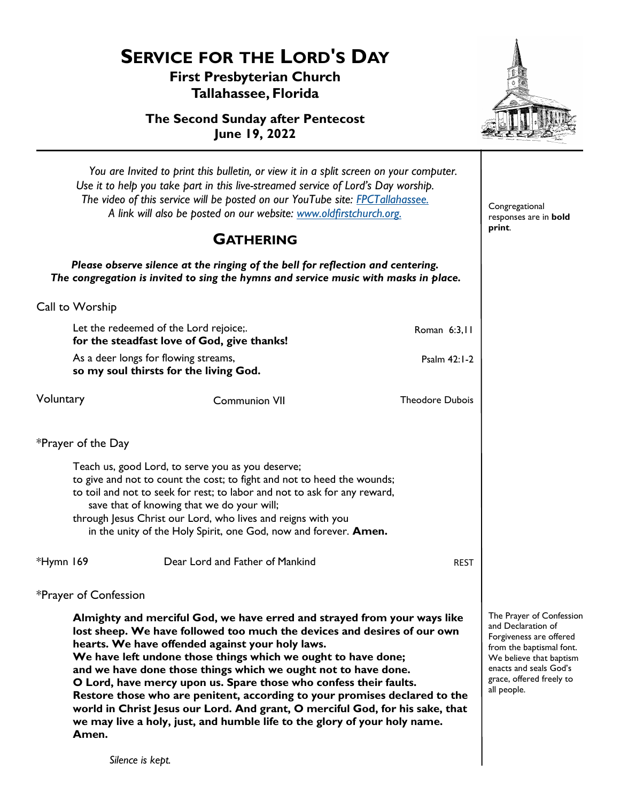*Silence is kept.*

**First Presbyterian Church Tallahassee, Florida**

**The Second Sunday after Pentecost June 19, 2022**



|           | You are Invited to print this bulletin, or view it in a split screen on your computer.<br>Use it to help you take part in this live-streamed service of Lord's Day worship.<br>The video of this service will be posted on our YouTube site: FPCTallahassee.<br>A link will also be posted on our website: www.oldfirstchurch.org.                                                                                                                                                                                                                                                                                                                                    | Congregational<br>responses are in bold                                                                                                                                                               |                        |  |
|-----------|-----------------------------------------------------------------------------------------------------------------------------------------------------------------------------------------------------------------------------------------------------------------------------------------------------------------------------------------------------------------------------------------------------------------------------------------------------------------------------------------------------------------------------------------------------------------------------------------------------------------------------------------------------------------------|-------------------------------------------------------------------------------------------------------------------------------------------------------------------------------------------------------|------------------------|--|
|           | print.                                                                                                                                                                                                                                                                                                                                                                                                                                                                                                                                                                                                                                                                |                                                                                                                                                                                                       |                        |  |
|           |                                                                                                                                                                                                                                                                                                                                                                                                                                                                                                                                                                                                                                                                       | Please observe silence at the ringing of the bell for reflection and centering.<br>The congregation is invited to sing the hymns and service music with masks in place.                               |                        |  |
|           | Call to Worship                                                                                                                                                                                                                                                                                                                                                                                                                                                                                                                                                                                                                                                       |                                                                                                                                                                                                       |                        |  |
|           | Let the redeemed of the Lord rejoice;.<br>for the steadfast love of God, give thanks!                                                                                                                                                                                                                                                                                                                                                                                                                                                                                                                                                                                 | Roman 6:3,11                                                                                                                                                                                          |                        |  |
|           | As a deer longs for flowing streams,<br>so my soul thirsts for the living God.                                                                                                                                                                                                                                                                                                                                                                                                                                                                                                                                                                                        |                                                                                                                                                                                                       |                        |  |
| Voluntary |                                                                                                                                                                                                                                                                                                                                                                                                                                                                                                                                                                                                                                                                       | <b>Communion VII</b>                                                                                                                                                                                  | <b>Theodore Dubois</b> |  |
|           | *Prayer of the Day                                                                                                                                                                                                                                                                                                                                                                                                                                                                                                                                                                                                                                                    |                                                                                                                                                                                                       |                        |  |
|           | Teach us, good Lord, to serve you as you deserve;<br>to give and not to count the cost; to fight and not to heed the wounds;<br>to toil and not to seek for rest; to labor and not to ask for any reward,<br>save that of knowing that we do your will;<br>through Jesus Christ our Lord, who lives and reigns with you<br>in the unity of the Holy Spirit, one God, now and forever. Amen.                                                                                                                                                                                                                                                                           |                                                                                                                                                                                                       |                        |  |
| *Hymn 169 |                                                                                                                                                                                                                                                                                                                                                                                                                                                                                                                                                                                                                                                                       | Dear Lord and Father of Mankind                                                                                                                                                                       | <b>REST</b>            |  |
|           | *Prayer of Confession                                                                                                                                                                                                                                                                                                                                                                                                                                                                                                                                                                                                                                                 |                                                                                                                                                                                                       |                        |  |
|           | Almighty and merciful God, we have erred and strayed from your ways like<br>lost sheep. We have followed too much the devices and desires of our own<br>hearts. We have offended against your holy laws.<br>We have left undone those things which we ought to have done;<br>and we have done those things which we ought not to have done.<br>O Lord, have mercy upon us. Spare those who confess their faults.<br>Restore those who are penitent, according to your promises declared to the<br>world in Christ Jesus our Lord. And grant, O merciful God, for his sake, that<br>we may live a holy, just, and humble life to the glory of your holy name.<br>Amen. | The Prayer of Confession<br>and Declaration of<br>Forgiveness are offered<br>from the baptismal font.<br>We believe that baptism<br>enacts and seals God's<br>grace, offered freely to<br>all people. |                        |  |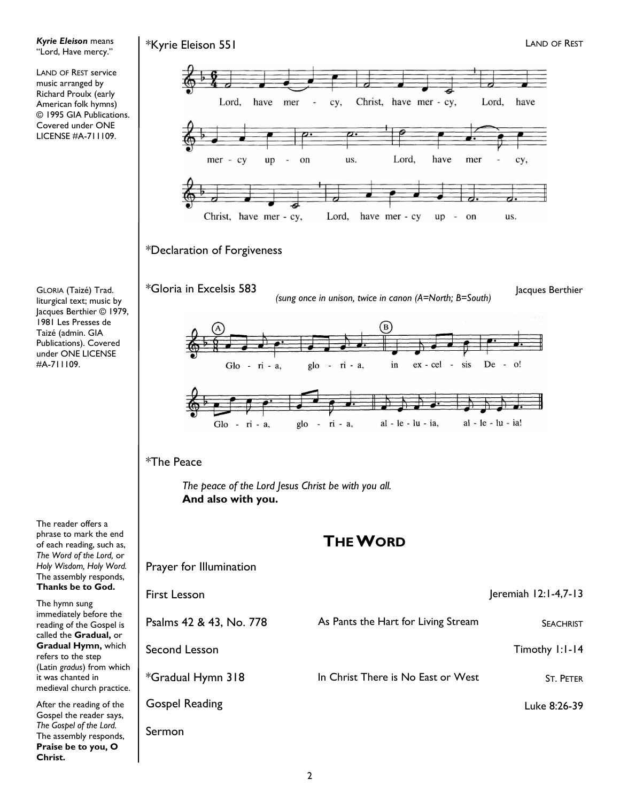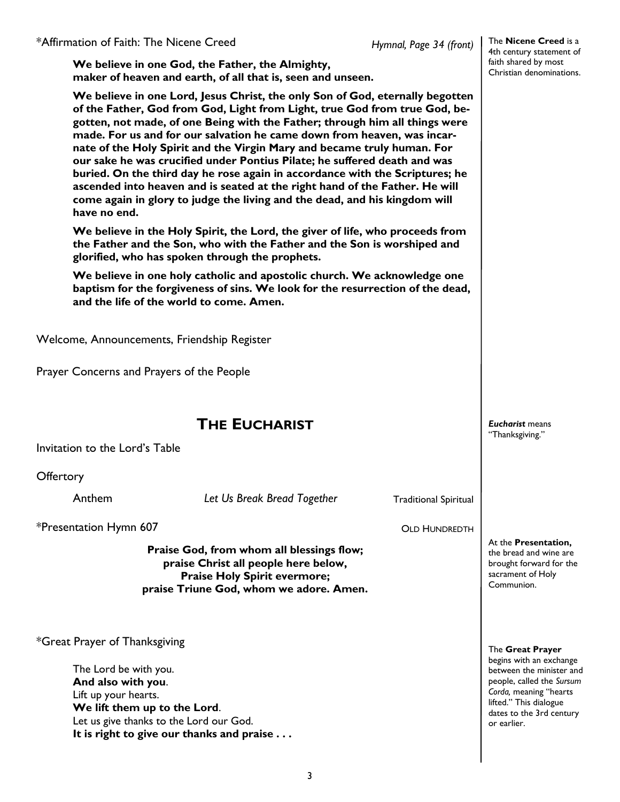The **Nicene Creed** is a 4th century statement of faith shared by most Christian denominations.

**We believe in one God, the Father, the Almighty, maker of heaven and earth, of all that is, seen and unseen.**

| have no end.                                                                                                                                                                                           | We believe in one Lord, Jesus Christ, the only Son of God, eternally begotten<br>of the Father, God from God, Light from Light, true God from true God, be-<br>gotten, not made, of one Being with the Father; through him all things were<br>made. For us and for our salvation he came down from heaven, was incar-<br>nate of the Holy Spirit and the Virgin Mary and became truly human. For<br>our sake he was crucified under Pontius Pilate; he suffered death and was<br>buried. On the third day he rose again in accordance with the Scriptures; he<br>ascended into heaven and is seated at the right hand of the Father. He will<br>come again in glory to judge the living and the dead, and his kingdom will<br>We believe in the Holy Spirit, the Lord, the giver of life, who proceeds from |                              |                                                                                                                                                                                 |  |  |
|--------------------------------------------------------------------------------------------------------------------------------------------------------------------------------------------------------|-------------------------------------------------------------------------------------------------------------------------------------------------------------------------------------------------------------------------------------------------------------------------------------------------------------------------------------------------------------------------------------------------------------------------------------------------------------------------------------------------------------------------------------------------------------------------------------------------------------------------------------------------------------------------------------------------------------------------------------------------------------------------------------------------------------|------------------------------|---------------------------------------------------------------------------------------------------------------------------------------------------------------------------------|--|--|
| the Father and the Son, who with the Father and the Son is worshiped and<br>glorified, who has spoken through the prophets.                                                                            |                                                                                                                                                                                                                                                                                                                                                                                                                                                                                                                                                                                                                                                                                                                                                                                                             |                              |                                                                                                                                                                                 |  |  |
| We believe in one holy catholic and apostolic church. We acknowledge one<br>baptism for the forgiveness of sins. We look for the resurrection of the dead,<br>and the life of the world to come. Amen. |                                                                                                                                                                                                                                                                                                                                                                                                                                                                                                                                                                                                                                                                                                                                                                                                             |                              |                                                                                                                                                                                 |  |  |
|                                                                                                                                                                                                        | Welcome, Announcements, Friendship Register                                                                                                                                                                                                                                                                                                                                                                                                                                                                                                                                                                                                                                                                                                                                                                 |                              |                                                                                                                                                                                 |  |  |
|                                                                                                                                                                                                        | Prayer Concerns and Prayers of the People                                                                                                                                                                                                                                                                                                                                                                                                                                                                                                                                                                                                                                                                                                                                                                   |                              |                                                                                                                                                                                 |  |  |
|                                                                                                                                                                                                        | <b>THE EUCHARIST</b>                                                                                                                                                                                                                                                                                                                                                                                                                                                                                                                                                                                                                                                                                                                                                                                        |                              | <b>Eucharist</b> means<br>"Thanksgiving."                                                                                                                                       |  |  |
| Invitation to the Lord's Table                                                                                                                                                                         |                                                                                                                                                                                                                                                                                                                                                                                                                                                                                                                                                                                                                                                                                                                                                                                                             |                              |                                                                                                                                                                                 |  |  |
| Offertory                                                                                                                                                                                              |                                                                                                                                                                                                                                                                                                                                                                                                                                                                                                                                                                                                                                                                                                                                                                                                             |                              |                                                                                                                                                                                 |  |  |
| Anthem                                                                                                                                                                                                 | Let Us Break Bread Together                                                                                                                                                                                                                                                                                                                                                                                                                                                                                                                                                                                                                                                                                                                                                                                 | <b>Traditional Spiritual</b> |                                                                                                                                                                                 |  |  |
| *Presentation Hymn 607                                                                                                                                                                                 | <b>OLD HUNDREDTH</b>                                                                                                                                                                                                                                                                                                                                                                                                                                                                                                                                                                                                                                                                                                                                                                                        |                              |                                                                                                                                                                                 |  |  |
|                                                                                                                                                                                                        | Praise God, from whom all blessings flow;<br>praise Christ all people here below,<br><b>Praise Holy Spirit evermore;</b><br>praise Triune God, whom we adore. Amen.                                                                                                                                                                                                                                                                                                                                                                                                                                                                                                                                                                                                                                         |                              | At the Presentation,<br>the bread and wine are<br>brought forward for the<br>sacrament of Holy<br>Communion.                                                                    |  |  |
| *Great Prayer of Thanksgiving                                                                                                                                                                          |                                                                                                                                                                                                                                                                                                                                                                                                                                                                                                                                                                                                                                                                                                                                                                                                             |                              | The Great Prayer                                                                                                                                                                |  |  |
| The Lord be with you.<br>And also with you.<br>Lift up your hearts.                                                                                                                                    | We lift them up to the Lord.<br>Let us give thanks to the Lord our God.<br>It is right to give our thanks and praise                                                                                                                                                                                                                                                                                                                                                                                                                                                                                                                                                                                                                                                                                        |                              | begins with an exchange<br>between the minister and<br>people, called the Sursum<br>Corda, meaning "hearts<br>lifted." This dialogue<br>dates to the 3rd century<br>or earlier. |  |  |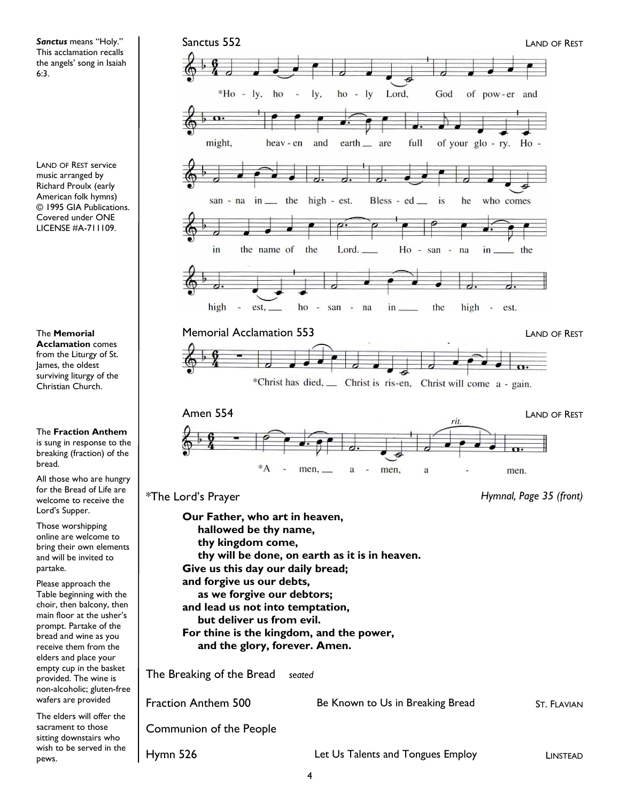*Sanctus* means "Holy." This acclamation recalls the angels' song in Isaiah 6:3.

LAND OF REST service music arranged by Richard Proulx (early American folk hymns) © 1995 GIA Publications. Covered under ONE LICENSE #A-711109.

The **Memorial Acclamation** comes

from the Liturgy of St. James, the oldest surviving liturgy of the Christian Church.

The **Fraction Anthem**  is sung in response to the breaking (fraction) of the

bread.

All those who are hungry for the Bread of Life are welcome to receive the Lord's Supper.

Those worshipping online are welcome to bring their own elements and will be invited to partake.

Please approach the Table beginning with the choir, then balcony, then main floor at the usher's prompt. Partake of the bread and wine as you receive them from the elders and place your empty cup in the basket provided. The wine is non-alcoholic; gluten-free wafers are provided

The elders will offer the sacrament to those sitting downstairs who wish to be served in the pews.